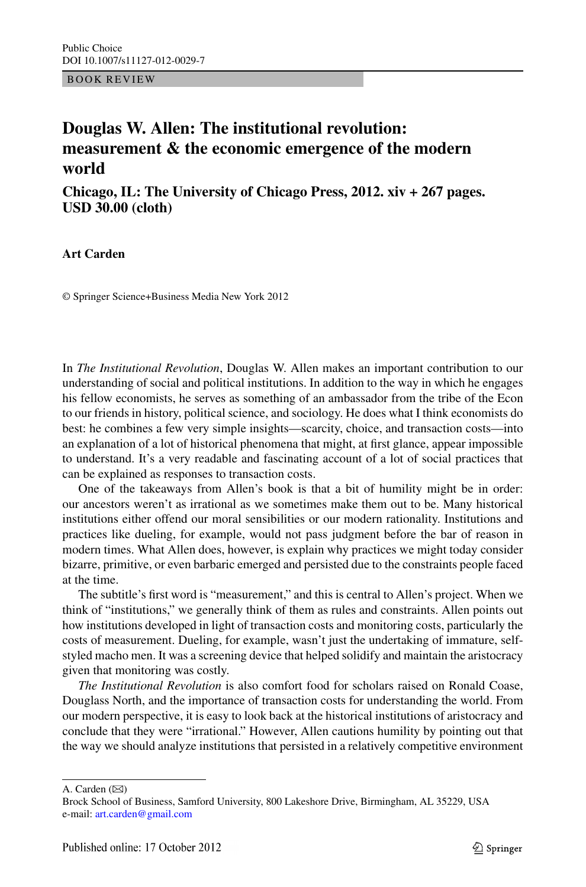BOOK REVIEW

## **Douglas W. Allen: The institutional revolution: measurement & the economic emergence of the modern world**

**Chicago, IL: The University of Chicago Press, 2012. xiv + 267 pages. USD 30.00 (cloth)**

## **Art Carden**

© Springer Science+Business Media New York 2012

In *The Institutional Revolution*, Douglas W. Allen makes an important contribution to our understanding of social and political institutions. In addition to the way in which he engages his fellow economists, he serves as something of an ambassador from the tribe of the Econ to our friends in history, political science, and sociology. He does what I think economists do best: he combines a few very simple insights—scarcity, choice, and transaction costs—into an explanation of a lot of historical phenomena that might, at first glance, appear impossible to understand. It's a very readable and fascinating account of a lot of social practices that can be explained as responses to transaction costs.

One of the takeaways from Allen's book is that a bit of humility might be in order: our ancestors weren't as irrational as we sometimes make them out to be. Many historical institutions either offend our moral sensibilities or our modern rationality. Institutions and practices like dueling, for example, would not pass judgment before the bar of reason in modern times. What Allen does, however, is explain why practices we might today consider bizarre, primitive, or even barbaric emerged and persisted due to the constraints people faced at the time.

The subtitle's first word is "measurement," and this is central to Allen's project. When we think of "institutions," we generally think of them as rules and constraints. Allen points out how institutions developed in light of transaction costs and monitoring costs, particularly the costs of measurement. Dueling, for example, wasn't just the undertaking of immature, selfstyled macho men. It was a screening device that helped solidify and maintain the aristocracy given that monitoring was costly.

*The Institutional Revolution* is also comfort food for scholars raised on Ronald Coase, Douglass North, and the importance of transaction costs for understanding the world. From our modern perspective, it is easy to look back at the historical institutions of aristocracy and conclude that they were "irrational." However, Allen cautions humility by pointing out that the way we should analyze institutions that persisted in a relatively competitive environment

A. Carden  $(\boxtimes)$ 

Brock School of Business, Samford University, 800 Lakeshore Drive, Birmingham, AL 35229, USA e-mail: [art.carden@gmail.com](mailto:art.carden@gmail.com)